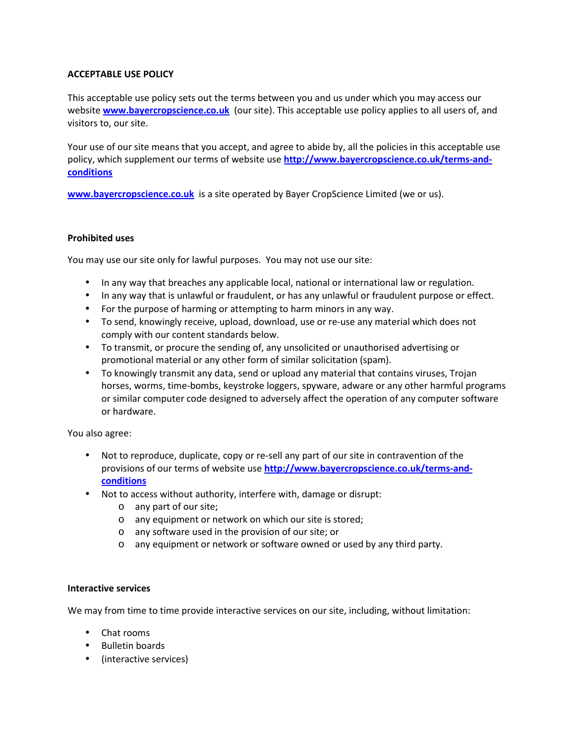# **ACCEPTABLE USE POLICY**

This acceptable use policy sets out the terms between you and us under which you may access our website **www.bayercropscience.co.uk** (our site). This acceptable use policy applies to all users of, and visitors to, our site.

Your use of our site means that you accept, and agree to abide by, all the policies in this acceptable use policy, which supplement our terms of website use **http://www.bayercropscience.co.uk/terms-andconditions**

**www.bayercropscience.co.uk** is a site operated by Bayer CropScience Limited (we or us).

## **Prohibited uses**

You may use our site only for lawful purposes. You may not use our site:

- In any way that breaches any applicable local, national or international law or regulation.
- In any way that is unlawful or fraudulent, or has any unlawful or fraudulent purpose or effect.
- For the purpose of harming or attempting to harm minors in any way.
- To send, knowingly receive, upload, download, use or re-use any material which does not comply with our content standards below.
- To transmit, or procure the sending of, any unsolicited or unauthorised advertising or promotional material or any other form of similar solicitation (spam).
- To knowingly transmit any data, send or upload any material that contains viruses, Trojan horses, worms, time-bombs, keystroke loggers, spyware, adware or any other harmful programs or similar computer code designed to adversely affect the operation of any computer software or hardware.

You also agree:

- Not to reproduce, duplicate, copy or re-sell any part of our site in contravention of the provisions of our terms of website use **http://www.bayercropscience.co.uk/terms-andconditions**
- Not to access without authority, interfere with, damage or disrupt:
	- o any part of our site;
	- o any equipment or network on which our site is stored;
	- o any software used in the provision of our site; or
	- o any equipment or network or software owned or used by any third party.

#### **Interactive services**

We may from time to time provide interactive services on our site, including, without limitation:

- Chat rooms
- Bulletin boards
- (interactive services)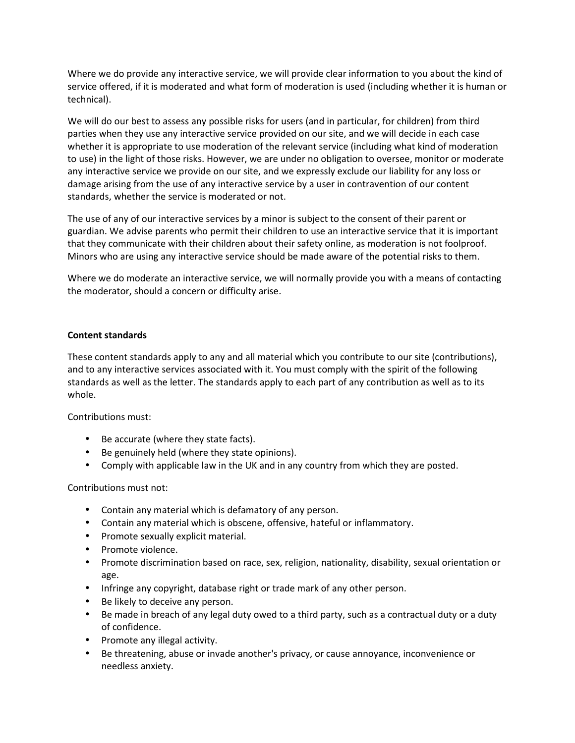Where we do provide any interactive service, we will provide clear information to you about the kind of service offered, if it is moderated and what form of moderation is used (including whether it is human or technical).

We will do our best to assess any possible risks for users (and in particular, for children) from third parties when they use any interactive service provided on our site, and we will decide in each case whether it is appropriate to use moderation of the relevant service (including what kind of moderation to use) in the light of those risks. However, we are under no obligation to oversee, monitor or moderate any interactive service we provide on our site, and we expressly exclude our liability for any loss or damage arising from the use of any interactive service by a user in contravention of our content standards, whether the service is moderated or not.

The use of any of our interactive services by a minor is subject to the consent of their parent or guardian. We advise parents who permit their children to use an interactive service that it is important that they communicate with their children about their safety online, as moderation is not foolproof. Minors who are using any interactive service should be made aware of the potential risks to them.

Where we do moderate an interactive service, we will normally provide you with a means of contacting the moderator, should a concern or difficulty arise.

## **Content standards**

These content standards apply to any and all material which you contribute to our site (contributions), and to any interactive services associated with it. You must comply with the spirit of the following standards as well as the letter. The standards apply to each part of any contribution as well as to its whole.

Contributions must:

- Be accurate (where they state facts).
- Be genuinely held (where they state opinions).
- Comply with applicable law in the UK and in any country from which they are posted.

Contributions must not:

- Contain any material which is defamatory of any person.
- Contain any material which is obscene, offensive, hateful or inflammatory.
- Promote sexually explicit material.
- Promote violence.
- Promote discrimination based on race, sex, religion, nationality, disability, sexual orientation or age.
- Infringe any copyright, database right or trade mark of any other person.
- Be likely to deceive any person.
- Be made in breach of any legal duty owed to a third party, such as a contractual duty or a duty of confidence.
- Promote any illegal activity.
- Be threatening, abuse or invade another's privacy, or cause annoyance, inconvenience or needless anxiety.